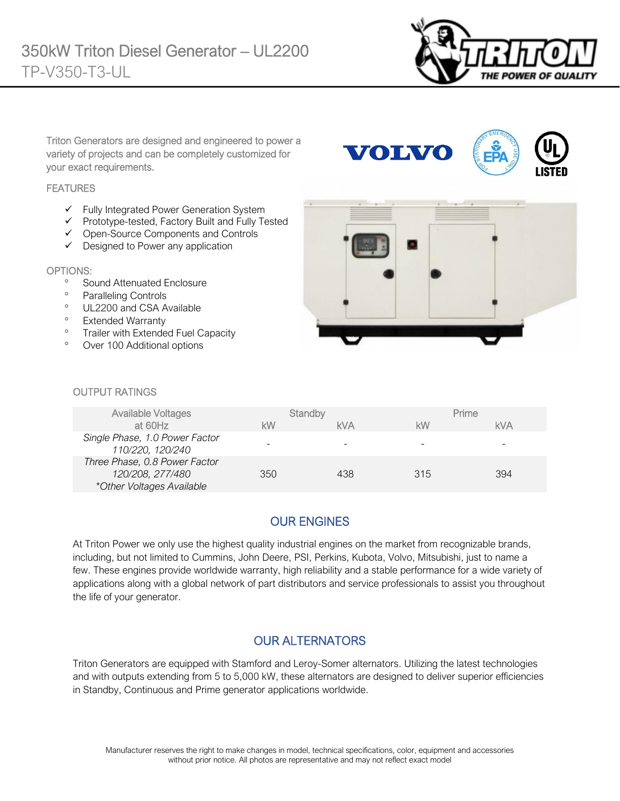

Triton Generators are designed and engineered to power a variety of projects and can be completely customized for your exact requirements.

#### **FEATURES**

- ✓ Fully Integrated Power Generation System
- ✓ Prototype-tested, Factory Built and Fully Tested
- ✓ Open-Source Components and Controls
- ✓ Designed to Power any application

#### OPTIONS:

- <sup>o</sup> Sound Attenuated Enclosure
- Paralleling Controls
- <sup>o</sup> UL2200 and CSA Available
- <sup>o</sup> Extended Warranty
- <sup>o</sup> Trailer with Extended Fuel Capacity
- Over 100 Additional options



**VOLVO** 

#### OUTPUT RATINGS

| <b>Available Voltages</b><br>at 60Hz                                           | kW  | Standby<br><b>kVA</b> | <b>kW</b> | Prime<br><b>kVA</b> |
|--------------------------------------------------------------------------------|-----|-----------------------|-----------|---------------------|
| Single Phase, 1.0 Power Factor<br>110/220, 120/240                             |     |                       | -         | -                   |
| Three Phase, 0.8 Power Factor<br>120/208, 277/480<br>*Other Voltages Available | 350 | 438                   | 315       | 394                 |

### OUR ENGINES

At Triton Power we only use the highest quality industrial engines on the market from recognizable brands, including, but not limited to Cummins, John Deere, PSI, Perkins, Kubota, Volvo, Mitsubishi, just to name a few. These engines provide worldwide warranty, high reliability and a stable performance for a wide variety of applications along with a global network of part distributors and service professionals to assist you throughout the life of your generator.

#### OUR ALTERNATORS

Triton Generators are equipped with Stamford and Leroy-Somer alternators. Utilizing the latest technologies and with outputs extending from 5 to 5,000 kW, these alternators are designed to deliver superior efficiencies in Standby, Continuous and Prime generator applications worldwide.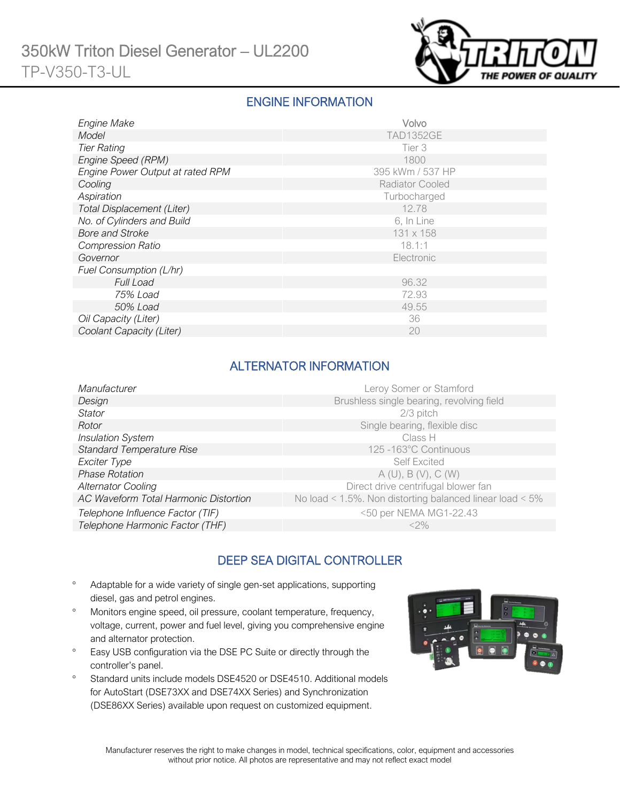

### ENGINE INFORMATION

| Engine Make                       | Volvo                  |
|-----------------------------------|------------------------|
| Model                             | <b>TAD1352GE</b>       |
| <b>Tier Rating</b>                | Tier 3                 |
| Engine Speed (RPM)                | 1800                   |
| Engine Power Output at rated RPM  | 395 kWm / 537 HP       |
| Cooling                           | <b>Radiator Cooled</b> |
| Aspiration                        | Turbocharged           |
| <b>Total Displacement (Liter)</b> | 12.78                  |
| No. of Cylinders and Build        | 6, In Line             |
| <b>Bore and Stroke</b>            | 131 x 158              |
| <b>Compression Ratio</b>          | 18.1:1                 |
| Governor                          | Electronic             |
| Fuel Consumption (L/hr)           |                        |
| <b>Full Load</b>                  | 96.32                  |
| 75% Load                          | 72.93                  |
| 50% Load                          | 49.55                  |
| Oil Capacity (Liter)              | 36                     |
| Coolant Capacity (Liter)          | 20                     |

### ALTERNATOR INFORMATION

| Manufacturer                          | Leroy Somer or Stamford                                         |
|---------------------------------------|-----------------------------------------------------------------|
| Design                                | Brushless single bearing, revolving field                       |
| Stator                                | 2/3 pitch                                                       |
| Rotor                                 | Single bearing, flexible disc                                   |
| <b>Insulation System</b>              | Class H                                                         |
| <b>Standard Temperature Rise</b>      | 125 -163°C Continuous                                           |
| Exciter Type                          | <b>Self Excited</b>                                             |
| <b>Phase Rotation</b>                 | A(U), B(V), C(W)                                                |
| <b>Alternator Cooling</b>             | Direct drive centrifugal blower fan                             |
| AC Waveform Total Harmonic Distortion | No load < $1.5\%$ . Non distorting balanced linear load < $5\%$ |
| Telephone Influence Factor (TIF)      | <50 per NEMA MG1-22.43                                          |
| Telephone Harmonic Factor (THF)       | $<$ 2%                                                          |
|                                       |                                                                 |

# DEEP SEA DIGITAL CONTROLLER

- Adaptable for a wide variety of single gen-set applications, supporting diesel, gas and petrol engines.
- Monitors engine speed, oil pressure, coolant temperature, frequency, voltage, current, power and fuel level, giving you comprehensive engine and alternator protection.
- <sup>o</sup> Easy USB configuration via the DSE PC Suite or directly through the controller's panel.
- <sup>o</sup> Standard units include models DSE4520 or DSE4510. Additional models for AutoStart (DSE73XX and DSE74XX Series) and Synchronization (DSE86XX Series) available upon request on customized equipment.

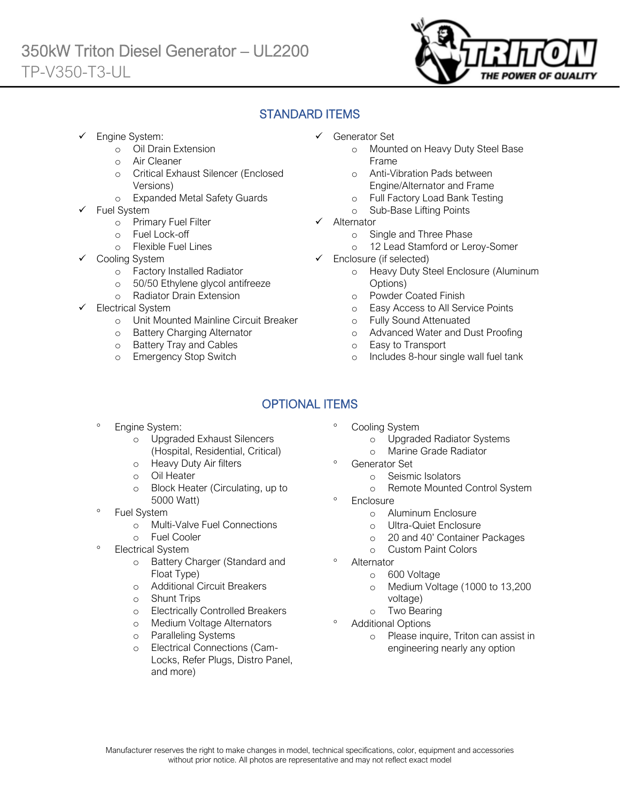

## STANDARD ITEMS

Engine System:

Ī

- o Oil Drain Extension
- o Air Cleaner
- o Critical Exhaust Silencer (Enclosed Versions)
- o Expanded Metal Safety Guards
- Fuel System
	- o Primary Fuel Filter
	- o Fuel Lock-off
		- o Flexible Fuel Lines
	- Cooling System
		- o Factory Installed Radiator
		- o 50/50 Ethylene glycol antifreeze
		- o Radiator Drain Extension
- Electrical System
	- o Unit Mounted Mainline Circuit Breaker
	- o Battery Charging Alternator
	- o Battery Tray and Cables
	- o Emergency Stop Switch
- ✓ Generator Set
	- o Mounted on Heavy Duty Steel Base Frame
	- o Anti-Vibration Pads between Engine/Alternator and Frame
	- o Full Factory Load Bank Testing
	- o Sub-Base Lifting Points
- ✓ Alternator
	- o Single and Three Phase
	- o 12 Lead Stamford or Leroy-Somer
- ✓ Enclosure (if selected)
	- o Heavy Duty Steel Enclosure (Aluminum Options)
	- o Powder Coated Finish
	- o Easy Access to All Service Points
	- o Fully Sound Attenuated
	- o Advanced Water and Dust Proofing
	- o Easy to Transport
	- o Includes 8-hour single wall fuel tank

# OPTIONAL ITEMS

- Engine System:
	- o Upgraded Exhaust Silencers (Hospital, Residential, Critical)
	- o Heavy Duty Air filters
	- o Oil Heater
	- o Block Heater (Circulating, up to 5000 Watt)
- Fuel System
	- o Multi-Valve Fuel Connections
	- o Fuel Cooler
- Electrical System
	- o Battery Charger (Standard and Float Type)
	- o Additional Circuit Breakers
	- o Shunt Trips
	- o Electrically Controlled Breakers
	- o Medium Voltage Alternators
	- o Paralleling Systems
	- o Electrical Connections (Cam-Locks, Refer Plugs, Distro Panel, and more)
- Cooling System
	- o Upgraded Radiator Systems
	- o Marine Grade Radiator
	- Generator Set
		- o Seismic Isolators
		- o Remote Mounted Control System
- **Enclosure** 
	- o Aluminum Enclosure
	- o Ultra-Quiet Enclosure
	- o 20 and 40' Container Packages
	- o Custom Paint Colors
- Alternator
	- o 600 Voltage
	- o Medium Voltage (1000 to 13,200 voltage)
	- o Two Bearing
- Additional Options
	- o Please inquire, Triton can assist in engineering nearly any option